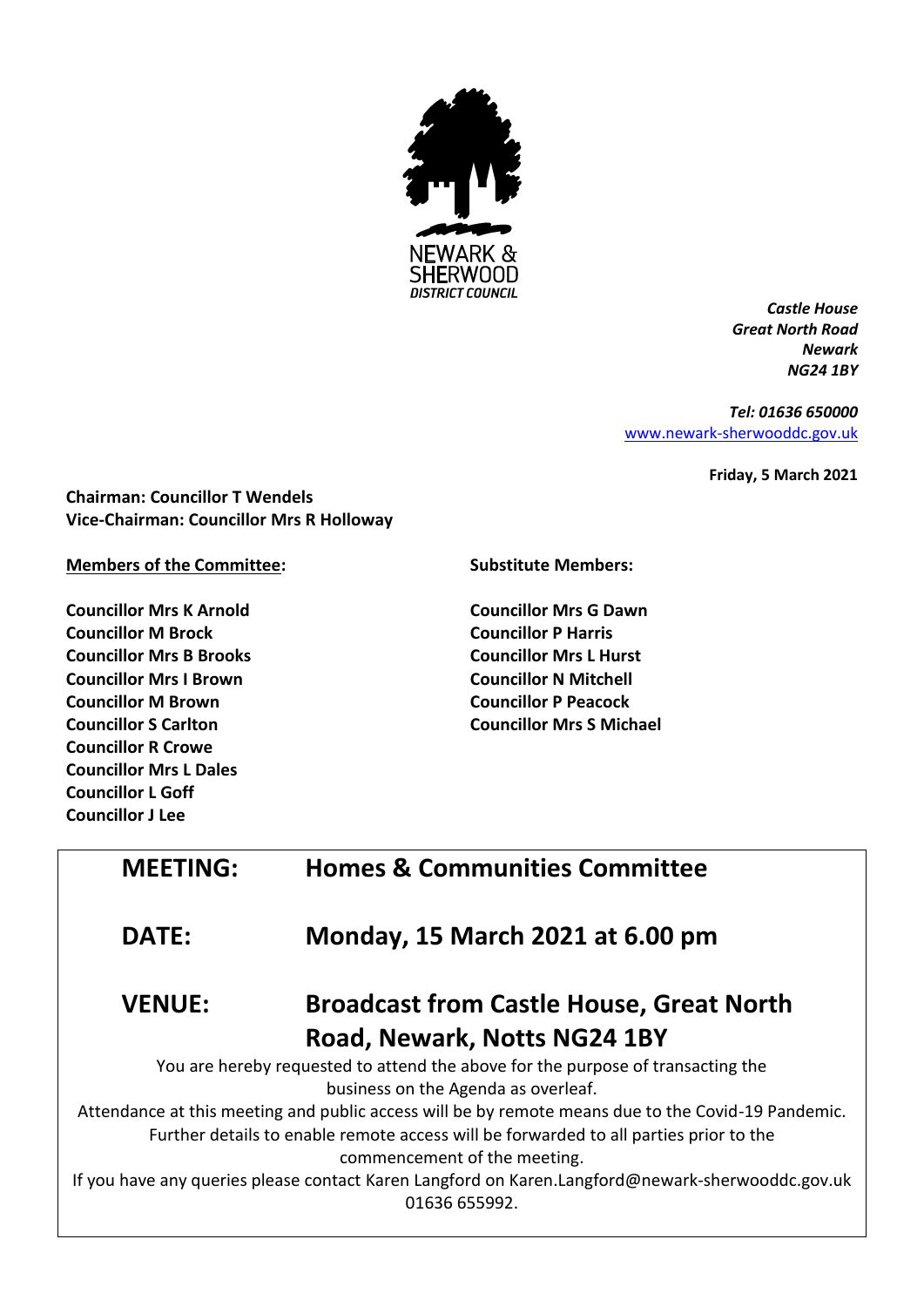

*Castle House Great North Road Newark NG24 1BY*

*Tel: 01636 650000* [www.newark-sherwooddc.gov.uk](http://www.newark-sherwooddc.gov.uk/)

**Friday, 5 March 2021**

**Chairman: Councillor T Wendels Vice-Chairman: Councillor Mrs R Holloway**

**Members of the Committee:**

**Councillor Mrs K Arnold Councillor M Brock Councillor Mrs B Brooks Councillor Mrs I Brown Councillor M Brown Councillor S Carlton Councillor R Crowe Councillor Mrs L Dales Councillor L Goff Councillor J Lee**

**Substitute Members:**

**Councillor Mrs G Dawn Councillor P Harris Councillor Mrs L Hurst Councillor N Mitchell Councillor P Peacock Councillor Mrs S Michael**

| <b>MEETING:</b>                                                                       | <b>Homes &amp; Communities Committee</b>                                                                          |  |
|---------------------------------------------------------------------------------------|-------------------------------------------------------------------------------------------------------------------|--|
| <b>DATE:</b>                                                                          | Monday, 15 March 2021 at 6.00 pm                                                                                  |  |
| <b>VENUE:</b>                                                                         | <b>Broadcast from Castle House, Great North</b>                                                                   |  |
|                                                                                       | Road, Newark, Notts NG24 1BY                                                                                      |  |
| You are hereby requested to attend the above for the purpose of transacting the       |                                                                                                                   |  |
|                                                                                       | business on the Agenda as overleaf.                                                                               |  |
|                                                                                       | Attendance at this meeting and public access will be by remote means due to the Covid-19 Pandemic.                |  |
| Further details to enable remote access will be forwarded to all parties prior to the |                                                                                                                   |  |
|                                                                                       | commencement of the meeting.                                                                                      |  |
|                                                                                       | If you have any queries please contact Karen Langford on Karen.Langford@newark-sherwooddc.gov.uk<br>01636 655992. |  |
|                                                                                       |                                                                                                                   |  |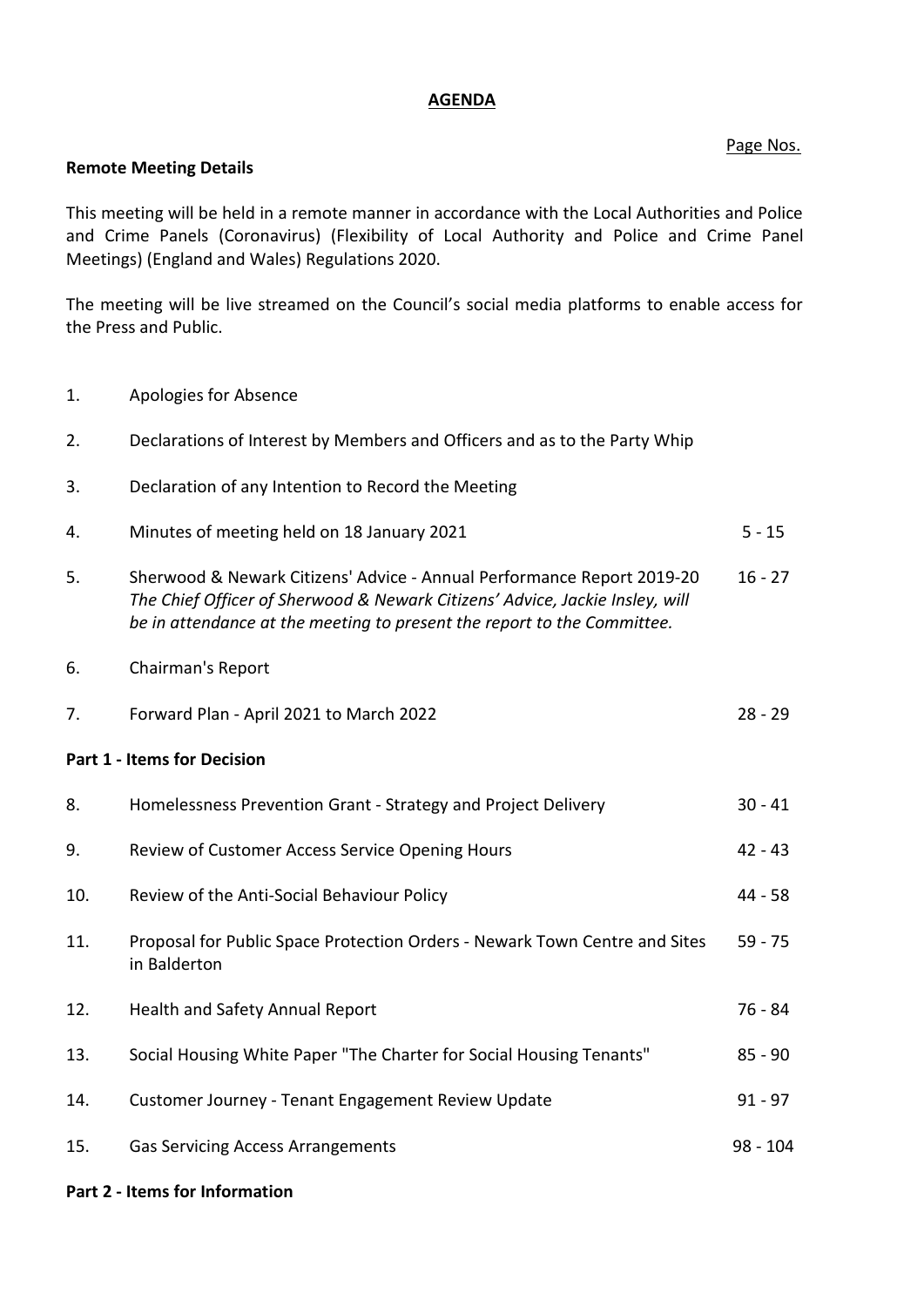# **AGENDA**

# Page Nos.

### **Remote Meeting Details**

This meeting will be held in a remote manner in accordance with the Local Authorities and Police and Crime Panels (Coronavirus) (Flexibility of Local Authority and Police and Crime Panel Meetings) (England and Wales) Regulations 2020.

The meeting will be live streamed on the Council's social media platforms to enable access for the Press and Public.

- 1. Apologies for Absence
- 2. Declarations of Interest by Members and Officers and as to the Party Whip
- 3. Declaration of any Intention to Record the Meeting
- 4. Minutes of meeting held on 18 January 2021 5 15
- 5. Sherwood & Newark Citizens' Advice Annual Performance Report 2019-20 *The Chief Officer of Sherwood & Newark Citizens' Advice, Jackie Insley, will be in attendance at the meeting to present the report to the Committee.* 16 - 27
- 6. Chairman's Report
- 7. Forward Plan April 2021 to March 2022 28 29

# **Part 1 - Items for Decision**

| 8.  | Homelessness Prevention Grant - Strategy and Project Delivery                              | $30 - 41$  |
|-----|--------------------------------------------------------------------------------------------|------------|
| 9.  | Review of Customer Access Service Opening Hours                                            | $42 - 43$  |
| 10. | Review of the Anti-Social Behaviour Policy                                                 | 44 - 58    |
| 11. | Proposal for Public Space Protection Orders - Newark Town Centre and Sites<br>in Balderton | $59 - 75$  |
| 12. | Health and Safety Annual Report                                                            | 76 - 84    |
| 13. | Social Housing White Paper "The Charter for Social Housing Tenants"                        | $85 - 90$  |
| 14. | Customer Journey - Tenant Engagement Review Update                                         | $91 - 97$  |
| 15. | <b>Gas Servicing Access Arrangements</b>                                                   | $98 - 104$ |

### **Part 2 - Items for Information**